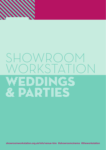

# SHOWROOM<br>WORKSTATION DRKSTA



**weddings@showroomworkstation.org.uk parties@showroomworkstation.org.uk 0114 221 0239 showroomworkstation.org.uk/info/venue-hire @showroomcinema @theworkstation**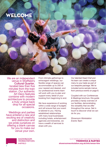# Welcome

We are an independent venue in Sheffield's located less than five minutes from the train station. Our authentic Art Deco features combine with modern architecture to provide a truly unique back drop for all special occasions.

Weddings and parties have entered a new and exciting era of creativity and distinction and we pride ourselves on offering a blank canvas for you to make our venue your own. From intimate gatherings to extravagant weddings, our flexible range of spaces can accommodate up to 200 of your nearest and dearest, and our professional events team will work with you to plan and support every detail of your booking from beginning to end.

We have experience of working within a wide range of budgets and will ensure that your event is tailored to you. Having established relationships with many local businesses including hotels, entertainment agencies and breweries, we have a wealth of services to share with you.

Our talented Head Chef and his team can create a unique menu to your taste as part of our bespoke package. We've included some sample menus from previous events on page 8.

Coupled with our Conferences & Meetings brochure, this guide provides a handy overview of our facilities, demonstrating the versatility that we offer throughout the venue. Get in touch to discover what we can do for you.

*Showroom Workstation Events Team*

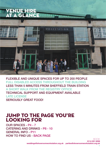# Venue hire at a glance  $\epsilon$



FLEXIBLE AND UNIQUE SPACES FOR UP TO 200 PEOPLE FULL DISABLED ACCESS THROUGHOUT THE BUILDING LESS THAN 5 MINUTES FROM SHEFFIELD TRAIN STATION A SHORT WALK FROM THE REGISTRY OFFICE TECHNICAL SUPPORT AND EQUIPMENT AVAILABLE LATE LICENSE SERIOUSLY GREAT FOOD!

## Jump to the page you're looking for

OUR SPACES - P4 - 7 CATERING AND DRINKS - P8 - 10 GENERAL INFO - P11 HOW TO FIND US - BACK PAGE

BOOK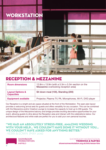



### Reception & Mezzanine

| <b>Room dimensions</b>                           | 12.8m $\times$ 13.9m (with a 5.3m $\times$ 5.3m section on the<br>Mezzanine overlooking reception area) |
|--------------------------------------------------|---------------------------------------------------------------------------------------------------------|
| <b>Layout Options &amp;</b><br><b>Capacities</b> | Sit down meal (100), Standing (200)                                                                     |
| <b>Equipment available</b>                       | Projector, Plasma TV, PA, Microphones, Wi-Fi, DVD player                                                |

Our Reception is a bright and airy space situated at the front of the Workstation. The open plan layout provides a welcoming arrival area for guests and offers versatility for any occasion. This can be combined with the Mezzanine and/or Creative Lounge to increase the capacity to host up to 200 guests. The unique design of the Mezzanine balcony and bridge provides exciting decorative opportunities for your event, allowing guests to dine above the Reception area and interact with the celebrations below. Our architectural features and white walls are perfect for you to add your own personal touches.

### "WE HAD AN ABSOLUTELY STRESS-FREE, AMAZING WEDDING WITH YOUR HELP... WE COULDN'T HAVE DONE IT WITHOUT YOU... WE COULDN'T HAVE ASKED FOR ANYTHING BETTER."

 $-KFRRI & FOWN$  (MAY 2016)

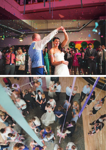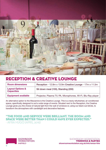

### Reception & Creative Lounge

| <b>Room dimensions</b>                           | Reception - 12.8m x 13.9m Creative Lounge - 17m x 11.5m      |
|--------------------------------------------------|--------------------------------------------------------------|
| <b>Layout Options &amp;</b><br><b>Capacities</b> | Sit down meal (100), Standing (200)                          |
| <b>Equipment available</b>                       | Projector, Plasma TV, PA, Microphones, Wi-Fi, Blu-Ray player |

An alternative option to the Mezzanine is the Creative Lounge. This is a newly refurbished, air conditioned space, specifically designed to suit a wide range of events. Situated next to the Reception, the Creative Lounge gives you the choice of natural light from the wall of windows or, using our black-out blinds, to transform the atmosphere with candlelight and decorative features.

### "THE FOOD AND SERVICE WERE BRILLIANT. THE ROOM AND SPACE WERE BETTER THAN I COULD HAVE EVER EXPECTED." - AFRA HUGO (APRIL 2016)

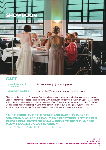

# Café

| <b>Layout Options &amp;</b><br><b>Capacities</b> | Sit down meal (50), Standing (100)            |
|--------------------------------------------------|-----------------------------------------------|
| <b>Equipment available</b>                       | Plasma TV, PA, Microphones, Wi-Fi, DVD player |

Situated behind the main Showroom Bar, this private space is ideal for smaller bookings and is regularly used for all manner of occasions and events. With its draught bar serving a variety of lagers, wines, spirits, soft drinks and local ales of your choice, the Café is free of charge for all parties until midnight (including wedding breakfasts/receptions), making it the perfect option to suit all budgets. If you're looking for something a bit different, our Café offers intimacy that will make your special event stand out.

### "THE FLEXIBILITY OF THE VENUE AND CAPACITY IS GREAT, SOMETHING YOU CAN'T EASILY FIND ELSEWHERE. LOTS OF OUR GUESTS COMMENTED ON WHAT A GREAT VENUE IT IS AND WE CAN'T RECOMMEND YOU ENOUGH."

- VICTORIA & ADAM SENDALL (JUNE 2016)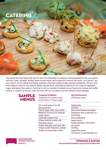# **CATERING**

Photo Credit: Marisa Cashill

Our award-winning Head Chef and his team are dedicated to creating a dining experience that your guests will love. Cake, canapés, buffets, three course meals, and cuisine from around the world - you name it, we can make it. All our dishes are freshly prepared using high quality locally sourced ingredients. We are more than happy to cater for any special dietary requirements, and pride ourselves on our range of vegetarian, vegan and gluten free options. Feel free to visit our website for details on our fixed price canapé and buffet menus, or contact us and our chef will work with you to create your own bespoke food package.

### **SAMPLE MENUS**

**Canapés & Nibbles** (Selection of 3 options and arrival drink- £10 per head)

Gin cured salmon on dill flavoured blini Feta & black olive mini muffin Beetroot houmous & caraway bread sticks Chilli salt roasted nuts Crispy polenta cubes with Romesco sauce Prawn and pea crust-less tart House cured mackerel, pickled shallot & horseradish cream

**Hot Sandwiches** (£5.95 per head)

### Roast pork

Chicken Soya and cheese sausages Displayed with a selection of trimmings - Pork scratching Apple sauce Roast potatoes with thyme and garlic **Stuffing** Vegetarian gravy All served in a sourdough bun

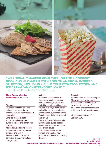

### "WE LITERALLY HANDED HEAD CHEF JON TITE A COOKERY BOOK AND HE CAME UP WITH A SOUTH AMERICAN INSPIRED SELECTION, INCLUDING A BUILD YOUR OWN TACO STATION AND ICE CREAM, WHICH EVERYBODY LOVED." - ELLEN AND LIAM (SEPTEMBER 2016)

#### **Three Course Wedding Breakfast** (£25 per head)

#### Starters:

Crustless Yorkshire blue and red onion tart served with toasted walnuts, watercress and pear salad Smoked mackerel pâté accompanied with mixed summer pickles and gluten free crackers Almond crusted goats cheese with Romesco sauce, toasted almonds and rocket Pressed confit duck terrine served on a bed of fennel and orange salad

#### Mains:

dill sauce

Rare roast beef served with thyme new potatoes, braised carrots, broccoli, a gluten free Yorkshire pudding and beef jus Poussin two ways, roast breast and wild mushroom stuffed leg accompanied by fondant potato, French beans, baby carrots and chicken jus Fennel and goats' cheese bake accompanied by red pepper purée, new potatoes and white wine cream sauce Oven roast salmon, wilted spinach and crushed new potatoes with a fresh and creamy

#### Desserts:

Rhubarb crumble with a scoop of Showroom vanilla ice cream Hazelnut and dark chocolate brownie with a scoop of Showroom praline ice cream and a drizzle of rich chocolate sauce

All prices accurate as of **January 2017**

> **0114 221 0239** BOOK

**weddings@showroomworkstation.org.uk parties@showroomworkstation.org.uk**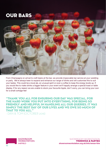# OUR BARS



From Champagne on arrival to craft beers at the bar, we provide impeccable bar service at your wedding or party. We're always keen to expand and enhance our range of drinks and will customise this to suit your tastes. This could be a local ale, an unusual spirit or even a coffee to keep the energy levels up. If you would like to make drinks a bigger feature in your event we'll happily arrange a special toast or table display. If for any reason we are unable to stock your favourite tipple, don't worry, you can bring your own for a small corkage fee!

"THANK YOU ALL FOR ENSURING OUR DAY WAS SPECIAL, FOR THE HARD WORK YOU PUT INTO EVERYTHING, FOR BEING SO FRIENDLY AND HELPFUL IN HANDLING ALL OUR QUERIES. IT WAS SIMPLY THE BEST DAY OF OUR LIVES AND WE OWE SO MUCH OF THAT TO YOU ALL." - DAN & TOM (OCTOBER 2016)



10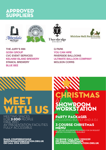## Approved Suppliers









THE JURY'S INN GOSH GROUP CVC EVENT SERVICES KELHAM ISLAND BREWERY STANCIL BREWERY BLUE BEE

Q PARK YOU CAN HIRE RIVERSIDE BALLOONS ULTIMATE BALLOON COMPANY MOLSON CORRS

# EETING SPACES **MEET** WITH US

 $\overline{\mathsf{DR}}$  2-200 people FREE WIFI AV PRESENTATION FACILITIES **TY ACCESSIBLE** 

EMAIL conferencing@ SHOWROOMWORKSTATION.ORG.UK OR CALL 0114 2210239

ISTMAS AT **MOIOIX TON** 

### PARTY PACKAGES CLUDING BUFFET AND A DJ

### 3 COURSE CHRISTMAS **AENU**

ALL DIETARY REQUIREMENTS CATERED FOR ON REQUEST BESPOKE PACKAGES ALSO AVAILABLE

**weddings@showroomworkstation.org.uk parties@showroomworkstation.org.uk 0114 221 0239** TO BOOK CALL O<mark>114 2210239</mark><br>OR EMAIL CHRISTMAS@<br>SHOWROOMWORKSTATI<mark>ON.ORG.UK</mark>